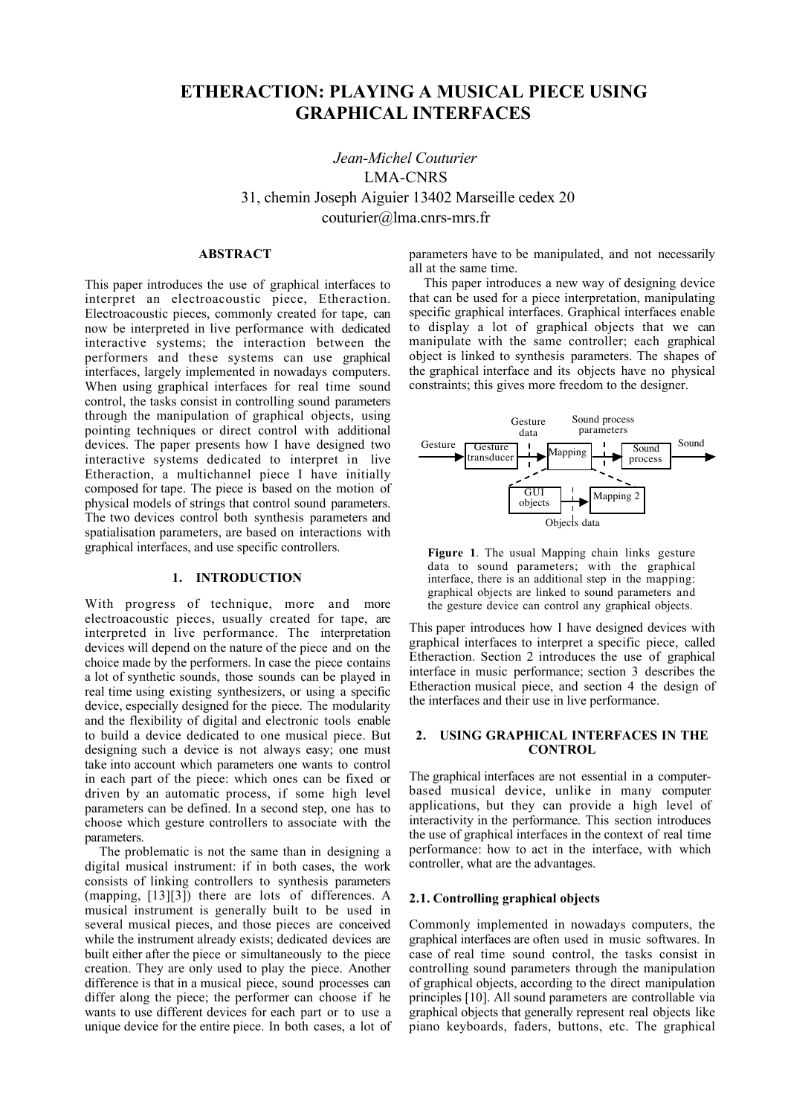# ETHERACTION: PLAYING A MUSICAL PIECE USING GRAPHICAL INTERFACES

*Jean-Michel Couturier* LMA-CNRS 31, chemin Joseph Aiguier 13402 Marseille cedex 20 couturier@lma.cnrs-mrs.fr

# ABSTRACT

This paper introduces the use of graphical interfaces to interpret an electroacoustic piece, Etheraction. Electroacoustic pieces, commonly created for tape, can now be interpreted in live performance with dedicated interactive systems; the interaction between the performers and these systems can use graphical interfaces, largely implemented in nowadays computers. When using graphical interfaces for real time sound control, the tasks consist in controlling sound parameters through the manipulation of graphical objects, using pointing techniques or direct control with additional devices. The paper presents how I have designed two interactive systems dedicated to interpret in live Etheraction, a multichannel piece I have initially composed for tape. The piece is based on the motion of physical models of strings that control sound parameters. The two devices control both synthesis parameters and spatialisation parameters, are based on interactions with graphical interfaces, and use specific controllers.

# 1. INTRODUCTION

With progress of technique, more and more electroacoustic pieces, usually created for tape, are interpreted in live performance. The interpretation devices will depend on the nature of the piece and on the choice made by the performers. In case the piece contains a lot of synthetic sounds, those sounds can be played in real time using existing synthesizers, or using a specific device, especially designed for the piece. The modularity and the flexibility of digital and electronic tools enable to build a device dedicated to one musical piece. But designing such a device is not always easy; one must take into account which parameters one wants to control in each part of the piece: which ones can be fixed or driven by an automatic process, if some high level parameters can be defined. In a second step, one has to choose which gesture controllers to associate with the parameters.

The problematic is not the same than in designing a digital musical instrument: if in both cases, the work consists of linking controllers to synthesis parameters (mapping, [13][3]) there are lots of differences. A musical instrument is generally built to be used in several musical pieces, and those pieces are conceived while the instrument already exists; dedicated devices are built either after the piece or simultaneously to the piece creation. They are only used to play the piece. Another difference is that in a musical piece, sound processes can differ along the piece; the performer can choose if he wants to use different devices for each part or to use a unique device for the entire piece. In both cases, a lot of parameters have to be manipulated, and not necessarily all at the same time.

This paper introduces a new way of designing device that can be used for a piece interpretation, manipulating specific graphical interfaces. Graphical interfaces enable to display a lot of graphical objects that we can manipulate with the same controller; each graphical object is linked to synthesis parameters. The shapes of the graphical interface and its objects have no physical constraints; this gives more freedom to the designer.



Figure 1. The usual Mapping chain links gesture data to sound parameters; with the graphical interface, there is an additional step in the mapping: graphical objects are linked to sound parameters and the gesture device can control any graphical objects.

This paper introduces how I have designed devices with graphical interfaces to interpret a specific piece, called Etheraction. Section 2 introduces the use of graphical interface in music performance; section 3 describes the Etheraction musical piece, and section 4 the design of the interfaces and their use in live performance.

# 2. USING GRAPHICAL INTERFACES IN THE CONTROL

The graphical interfaces are not essential in a computerbased musical device, unlike in many computer applications, but they can provide a high level of interactivity in the performance. This section introduces the use of graphical interfaces in the context of real time performance: how to act in the interface, with which controller, what are the advantages.

# 2.1. Controlling graphical objects

Commonly implemented in nowadays computers, the graphical interfaces are often used in music softwares. In case of real time sound control, the tasks consist in controlling sound parameters through the manipulation of graphical objects, according to the direct manipulation principles [10]. All sound parameters are controllable via graphical objects that generally represent real objects like piano keyboards, faders, buttons, etc. The graphical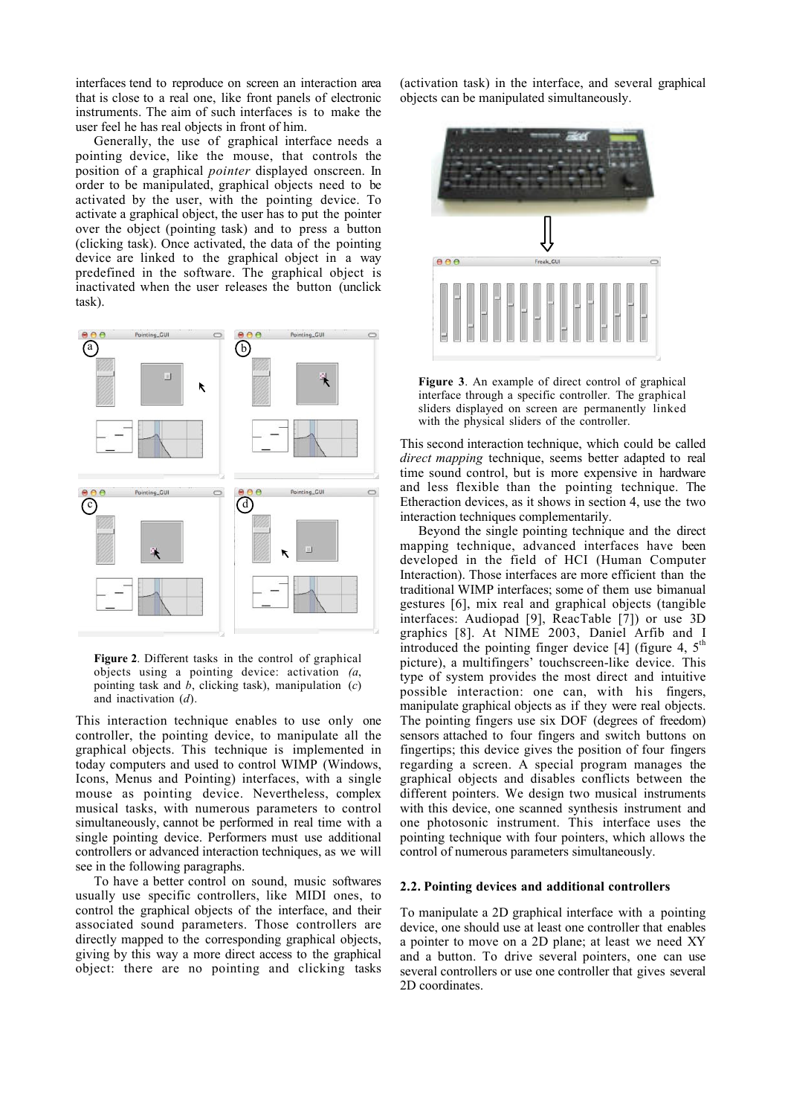interfaces tend to reproduce on screen an interaction area that is close to a real one, like front panels of electronic instruments. The aim of such interfaces is to make the user feel he has real objects in front of him.

Generally, the use of graphical interface needs a pointing device, like the mouse, that controls the position of a graphical *pointer* displayed onscreen. In order to be manipulated, graphical objects need to be activated by the user, with the pointing device. To activate a graphical object, the user has to put the pointer over the object (pointing task) and to press a button (clicking task). Once activated, the data of the pointing device are linked to the graphical object in a way predefined in the software. The graphical object is inactivated when the user releases the button (unclick task).



Figure 2. Different tasks in the control of graphical objects using a pointing device: activation *(a*, pointing task and *b*, clicking task), manipulation (*c*) and inactivation (*d*).

This interaction technique enables to use only one controller, the pointing device, to manipulate all the graphical objects. This technique is implemented in today computers and used to control WIMP (Windows, Icons, Menus and Pointing) interfaces, with a single mouse as pointing device. Nevertheless, complex musical tasks, with numerous parameters to control simultaneously, cannot be performed in real time with a single pointing device. Performers must use additional controllers or advanced interaction techniques, as we will see in the following paragraphs.

To have a better control on sound, music softwares usually use specific controllers, like MIDI ones, to control the graphical objects of the interface, and their associated sound parameters. Those controllers are directly mapped to the corresponding graphical objects, giving by this way a more direct access to the graphical object: there are no pointing and clicking tasks (activation task) in the interface, and several graphical objects can be manipulated simultaneously.



Figure 3. An example of direct control of graphical interface through a specific controller. The graphical sliders displayed on screen are permanently linked with the physical sliders of the controller.

This second interaction technique, which could be called *direct mapping* technique, seems better adapted to real time sound control, but is more expensive in hardware and less flexible than the pointing technique. The Etheraction devices, as it shows in section 4, use the two interaction techniques complementarily.

Beyond the single pointing technique and the direct mapping technique, advanced interfaces have been developed in the field of HCI (Human Computer Interaction). Those interfaces are more efficient than the traditional WIMP interfaces; some of them use bimanual gestures [6], mix real and graphical objects (tangible interfaces: Audiopad [9], ReacTable [7]) or use 3D graphics [8]. At NIME 2003, Daniel Arfib and I introduced the pointing finger device [4] (figure 4,  $5<sup>th</sup>$ picture), a multifingers' touchscreen-like device. This type of system provides the most direct and intuitive possible interaction: one can, with his fingers, manipulate graphical objects as if they were real objects. The pointing fingers use six DOF (degrees of freedom) sensors attached to four fingers and switch buttons on fingertips; this device gives the position of four fingers regarding a screen. A special program manages the graphical objects and disables conflicts between the different pointers. We design two musical instruments with this device, one scanned synthesis instrument and one photosonic instrument. This interface uses the pointing technique with four pointers, which allows the control of numerous parameters simultaneously.

#### 2.2. Pointing devices and additional controllers

To manipulate a 2D graphical interface with a pointing device, one should use at least one controller that enables a pointer to move on a 2D plane; at least we need XY and a button. To drive several pointers, one can use several controllers or use one controller that gives several 2D coordinates.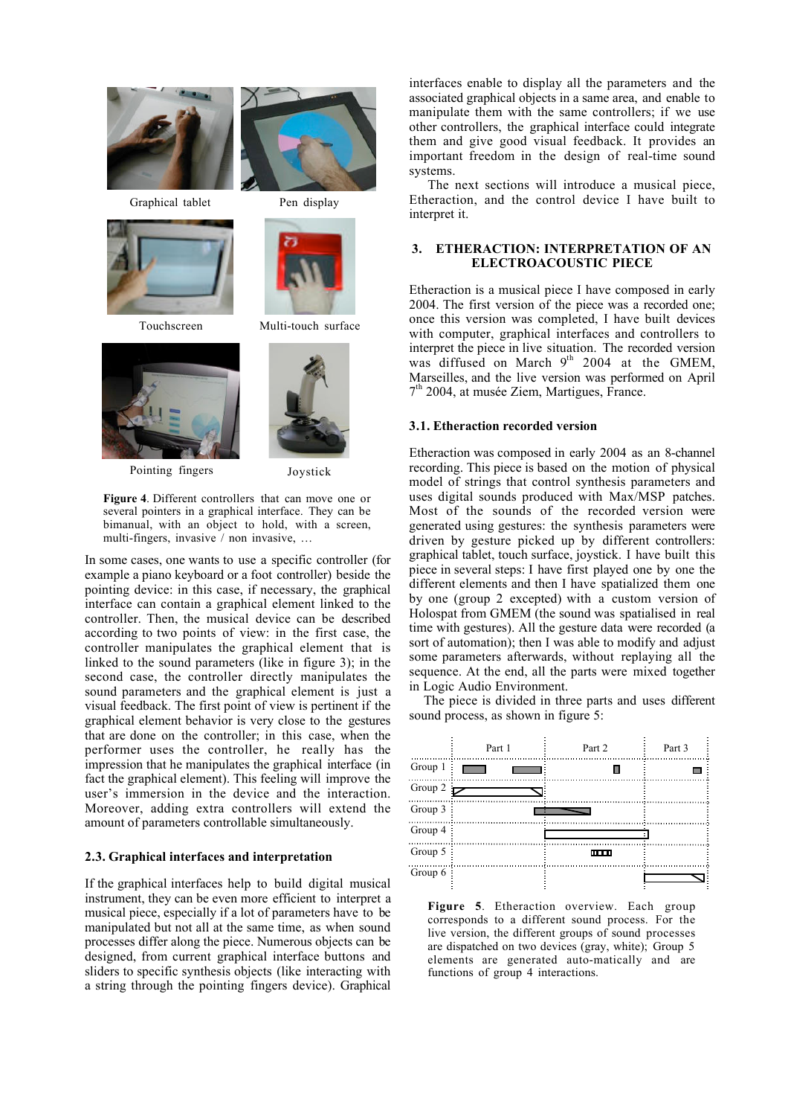

Graphical tablet Pen display





Pointing fingers Joystick





Touchscreen Multi-touch surface



Figure 4. Different controllers that can move one or several pointers in a graphical interface. They can be bimanual, with an object to hold, with a screen, multi-fingers, invasive / non invasive, …

In some cases, one wants to use a specific controller (for example a piano keyboard or a foot controller) beside the pointing device: in this case, if necessary, the graphical interface can contain a graphical element linked to the controller. Then, the musical device can be described according to two points of view: in the first case, the controller manipulates the graphical element that is linked to the sound parameters (like in figure 3); in the second case, the controller directly manipulates the sound parameters and the graphical element is just a visual feedback. The first point of view is pertinent if the graphical element behavior is very close to the gestures that are done on the controller; in this case, when the performer uses the controller, he really has the impression that he manipulates the graphical interface (in fact the graphical element). This feeling will improve the user's immersion in the device and the interaction. Moreover, adding extra controllers will extend the amount of parameters controllable simultaneously.

## 2.3. Graphical interfaces and interpretation

If the graphical interfaces help to build digital musical instrument, they can be even more efficient to interpret a musical piece, especially if a lot of parameters have to be manipulated but not all at the same time, as when sound processes differ along the piece. Numerous objects can be designed, from current graphical interface buttons and sliders to specific synthesis objects (like interacting with a string through the pointing fingers device). Graphical

interfaces enable to display all the parameters and the associated graphical objects in a same area, and enable to manipulate them with the same controllers; if we use other controllers, the graphical interface could integrate them and give good visual feedback. It provides an important freedom in the design of real-time sound systems.

The next sections will introduce a musical piece, Etheraction, and the control device I have built to interpret it.

# 3. ETHERACTION: INTERPRETATION OF AN ELECTROACOUSTIC PIECE

Etheraction is a musical piece I have composed in early 2004. The first version of the piece was a recorded one; once this version was completed, I have built devices with computer, graphical interfaces and controllers to interpret the piece in live situation. The recorded version was diffused on March  $9<sup>th</sup>$  2004 at the GMEM, Marseilles, and the live version was performed on April  $7<sup>th</sup>$  2004, at musée Ziem, Martigues, France.

## 3.1. Etheraction recorded version

Etheraction was composed in early 2004 as an 8-channel recording. This piece is based on the motion of physical model of strings that control synthesis parameters and uses digital sounds produced with Max/MSP patches. Most of the sounds of the recorded version were generated using gestures: the synthesis parameters were driven by gesture picked up by different controllers: graphical tablet, touch surface, joystick. I have built this piece in several steps: I have first played one by one the different elements and then I have spatialized them one by one (group 2 excepted) with a custom version of Holospat from GMEM (the sound was spatialised in real time with gestures). All the gesture data were recorded (a sort of automation); then I was able to modify and adjust some parameters afterwards, without replaying all the sequence. At the end, all the parts were mixed together in Logic Audio Environment.

The piece is divided in three parts and uses different sound process, as shown in figure 5:



Figure 5. Etheraction overview. Each group corresponds to a different sound process. For the live version, the different groups of sound processes are dispatched on two devices (gray, white); Group 5 elements are generated auto-matically and are functions of group 4 interactions.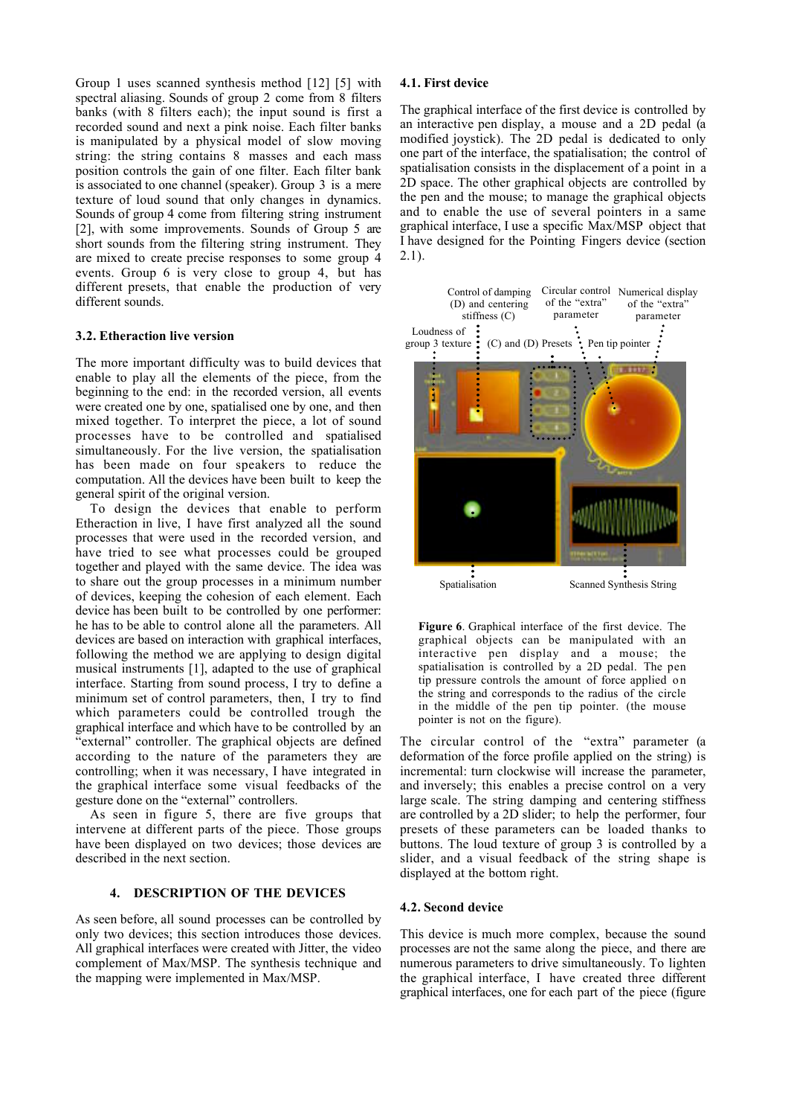Group 1 uses scanned synthesis method [12] [5] with spectral aliasing. Sounds of group 2 come from 8 filters banks (with 8 filters each); the input sound is first a recorded sound and next a pink noise. Each filter banks is manipulated by a physical model of slow moving string: the string contains 8 masses and each mass position controls the gain of one filter. Each filter bank is associated to one channel (speaker). Group 3 is a mere texture of loud sound that only changes in dynamics. Sounds of group 4 come from filtering string instrument [2], with some improvements. Sounds of Group 5 are short sounds from the filtering string instrument. They are mixed to create precise responses to some group 4 events. Group 6 is very close to group 4, but has different presets, that enable the production of very different sounds.

### 3.2. Etheraction live version

The more important difficulty was to build devices that enable to play all the elements of the piece, from the beginning to the end: in the recorded version, all events were created one by one, spatialised one by one, and then mixed together. To interpret the piece, a lot of sound processes have to be controlled and spatialised simultaneously. For the live version, the spatialisation has been made on four speakers to reduce the computation. All the devices have been built to keep the general spirit of the original version.

To design the devices that enable to perform Etheraction in live, I have first analyzed all the sound processes that were used in the recorded version, and have tried to see what processes could be grouped together and played with the same device. The idea was to share out the group processes in a minimum number of devices, keeping the cohesion of each element. Each device has been built to be controlled by one performer: he has to be able to control alone all the parameters. All devices are based on interaction with graphical interfaces, following the method we are applying to design digital musical instruments [1], adapted to the use of graphical interface. Starting from sound process, I try to define a minimum set of control parameters, then, I try to find which parameters could be controlled trough the graphical interface and which have to be controlled by an "external" controller. The graphical objects are defined according to the nature of the parameters they are controlling; when it was necessary, I have integrated in the graphical interface some visual feedbacks of the gesture done on the "external" controllers.

As seen in figure 5, there are five groups that intervene at different parts of the piece. Those groups have been displayed on two devices; those devices are described in the next section.

# 4. DESCRIPTION OF THE DEVICES

As seen before, all sound processes can be controlled by only two devices; this section introduces those devices. All graphical interfaces were created with Jitter, the video complement of Max/MSP. The synthesis technique and the mapping were implemented in Max/MSP.

# 4.1. First device

The graphical interface of the first device is controlled by an interactive pen display, a mouse and a 2D pedal (a modified joystick). The 2D pedal is dedicated to only one part of the interface, the spatialisation; the control of spatialisation consists in the displacement of a point in a 2D space. The other graphical objects are controlled by the pen and the mouse; to manage the graphical objects and to enable the use of several pointers in a same graphical interface, I use a specific Max/MSP object that I have designed for the Pointing Fingers device (section 2.1).



Figure 6. Graphical interface of the first device. The graphical objects can be manipulated with an interactive pen display and a mouse; the spatialisation is controlled by a 2D pedal. The pen tip pressure controls the amount of force applied on the string and corresponds to the radius of the circle in the middle of the pen tip pointer. (the mouse pointer is not on the figure).

The circular control of the "extra" parameter (a deformation of the force profile applied on the string) is incremental: turn clockwise will increase the parameter, and inversely; this enables a precise control on a very large scale. The string damping and centering stiffness are controlled by a 2D slider; to help the performer, four presets of these parameters can be loaded thanks to buttons. The loud texture of group 3 is controlled by a slider, and a visual feedback of the string shape is displayed at the bottom right.

#### 4.2. Second device

This device is much more complex, because the sound processes are not the same along the piece, and there are numerous parameters to drive simultaneously. To lighten the graphical interface, I have created three different graphical interfaces, one for each part of the piece (figure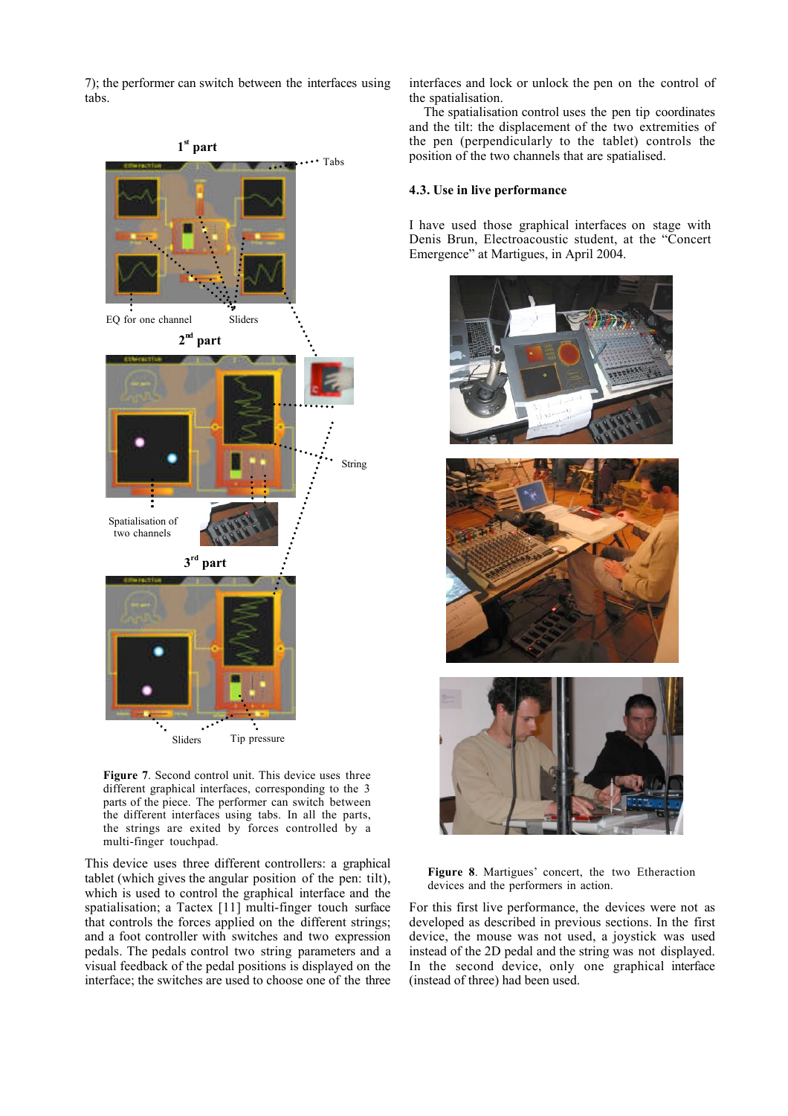7); the performer can switch between the interfaces using tabs.



Figure 7. Second control unit. This device uses three different graphical interfaces, corresponding to the 3 parts of the piece. The performer can switch between the different interfaces using tabs. In all the parts, the strings are exited by forces controlled by a multi-finger touchpad.

This device uses three different controllers: a graphical tablet (which gives the angular position of the pen: tilt), which is used to control the graphical interface and the spatialisation; a Tactex [11] multi-finger touch surface that controls the forces applied on the different strings; and a foot controller with switches and two expression pedals. The pedals control two string parameters and a visual feedback of the pedal positions is displayed on the interface; the switches are used to choose one of the three interfaces and lock or unlock the pen on the control of the spatialisation.

The spatialisation control uses the pen tip coordinates and the tilt: the displacement of the two extremities of the pen (perpendicularly to the tablet) controls the position of the two channels that are spatialised.

#### 4.3. Use in live performance

I have used those graphical interfaces on stage with Denis Brun, Electroacoustic student, at the "Concert Emergence" at Martigues, in April 2004.





For this first live performance, the devices were not as developed as described in previous sections. In the first device, the mouse was not used, a joystick was used instead of the 2D pedal and the string was not displayed. In the second device, only one graphical interface (instead of three) had been used.